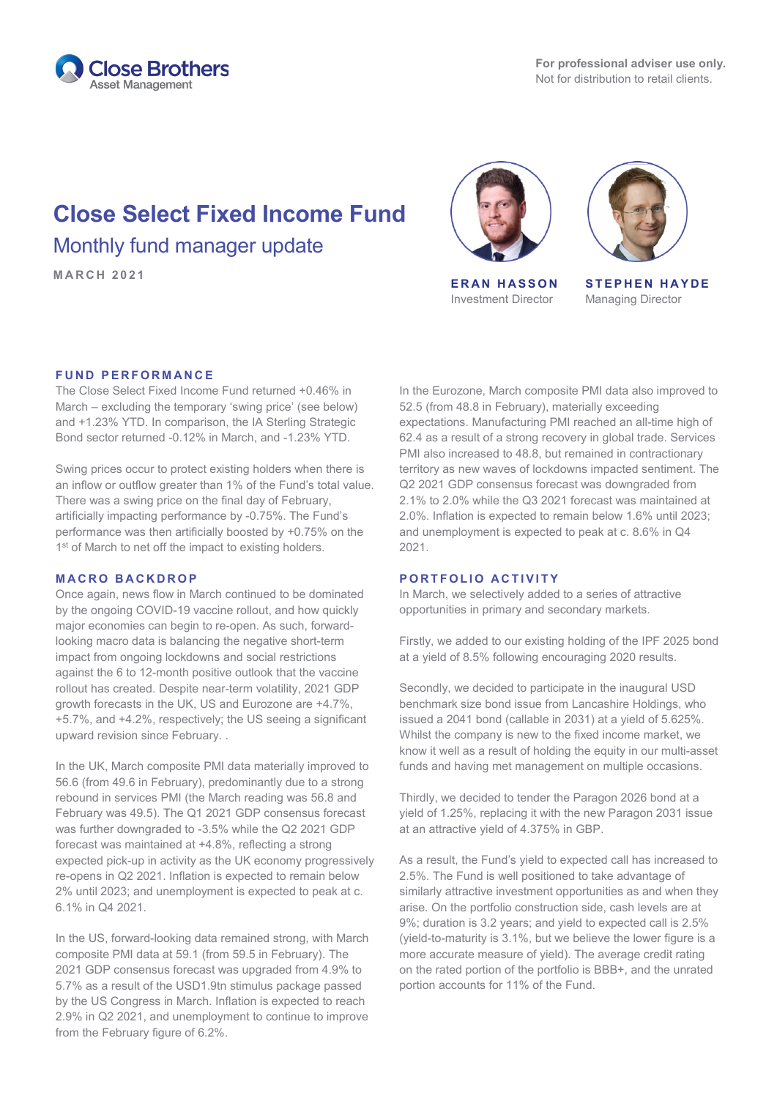

# **Close Select Fixed Income Fund** Monthly fund manager update

**MARCH 2021 ERAN HASSON**



Investment Director



**STEPHEN HAYDE** Managing Director

#### **FUND PERFORMANCE**

The Close Select Fixed Income Fund returned +0.46% in March – excluding the temporary 'swing price' (see below) and +1.23% YTD. In comparison, the IA Sterling Strategic Bond sector returned -0.12% in March, and -1.23% YTD.

Swing prices occur to protect existing holders when there is an inflow or outflow greater than 1% of the Fund's total value. There was a swing price on the final day of February, artificially impacting performance by -0.75%. The Fund's performance was then artificially boosted by +0.75% on the 1<sup>st</sup> of March to net off the impact to existing holders.

#### **MACRO BACKDROP**

Once again, news flow in March continued to be dominated by the ongoing COVID-19 vaccine rollout, and how quickly major economies can begin to re-open. As such, forwardlooking macro data is balancing the negative short-term impact from ongoing lockdowns and social restrictions against the 6 to 12-month positive outlook that the vaccine rollout has created. Despite near-term volatility, 2021 GDP growth forecasts in the UK, US and Eurozone are +4.7%, +5.7%, and +4.2%, respectively; the US seeing a significant upward revision since February. .

In the UK, March composite PMI data materially improved to 56.6 (from 49.6 in February), predominantly due to a strong rebound in services PMI (the March reading was 56.8 and February was 49.5). The Q1 2021 GDP consensus forecast was further downgraded to -3.5% while the Q2 2021 GDP forecast was maintained at +4.8%, reflecting a strong expected pick-up in activity as the UK economy progressively re-opens in Q2 2021. Inflation is expected to remain below 2% until 2023; and unemployment is expected to peak at c. 6.1% in Q4 2021.

In the US, forward-looking data remained strong, with March composite PMI data at 59.1 (from 59.5 in February). The 2021 GDP consensus forecast was upgraded from 4.9% to 5.7% as a result of the USD1.9tn stimulus package passed by the US Congress in March. Inflation is expected to reach 2.9% in Q2 2021, and unemployment to continue to improve from the February figure of 6.2%.

In the Eurozone, March composite PMI data also improved to 52.5 (from 48.8 in February), materially exceeding expectations. Manufacturing PMI reached an all-time high of 62.4 as a result of a strong recovery in global trade. Services PMI also increased to 48.8, but remained in contractionary territory as new waves of lockdowns impacted sentiment. The Q2 2021 GDP consensus forecast was downgraded from 2.1% to 2.0% while the Q3 2021 forecast was maintained at 2.0%. Inflation is expected to remain below 1.6% until 2023; and unemployment is expected to peak at c. 8.6% in Q4 2021.

### **PORTFOLIO ACTIVITY**

In March, we selectively added to a series of attractive opportunities in primary and secondary markets.

Firstly, we added to our existing holding of the IPF 2025 bond at a yield of 8.5% following encouraging 2020 results.

Secondly, we decided to participate in the inaugural USD benchmark size bond issue from Lancashire Holdings, who issued a 2041 bond (callable in 2031) at a yield of 5.625%. Whilst the company is new to the fixed income market, we know it well as a result of holding the equity in our multi-asset funds and having met management on multiple occasions.

Thirdly, we decided to tender the Paragon 2026 bond at a yield of 1.25%, replacing it with the new Paragon 2031 issue at an attractive yield of 4.375% in GBP.

As a result, the Fund's yield to expected call has increased to 2.5%. The Fund is well positioned to take advantage of similarly attractive investment opportunities as and when they arise. On the portfolio construction side, cash levels are at 9%; duration is 3.2 years; and yield to expected call is 2.5% (yield-to-maturity is 3.1%, but we believe the lower figure is a more accurate measure of yield). The average credit rating on the rated portion of the portfolio is BBB+, and the unrated portion accounts for 11% of the Fund.